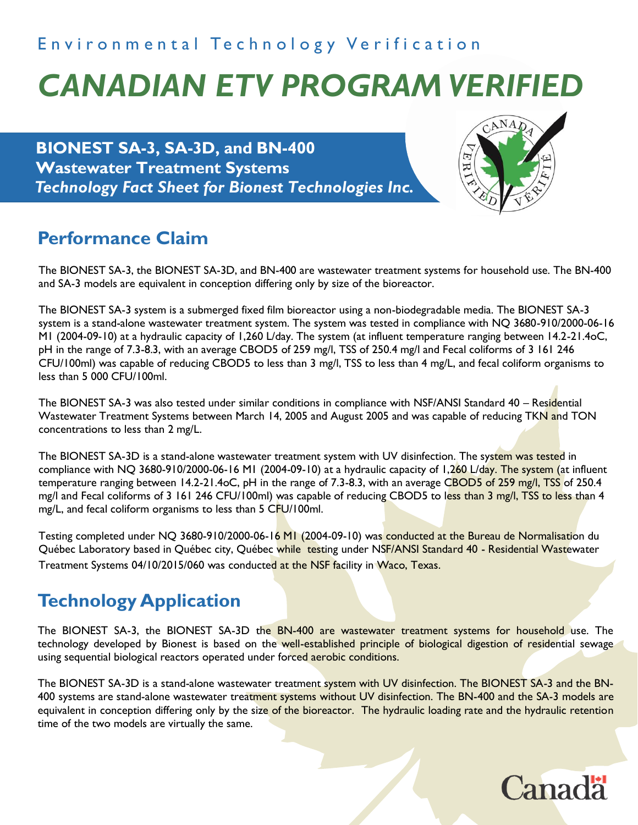## Environmental Technology Verification

# *CANADIAN ETV PROGRAM VERIFIED*

**BIONEST SA-3, SA-3D, and BN-400 Wastewater Treatment Systems** *Technology Fact Sheet for Bionest Technologies Inc.*



# **Performance Claim**

The BIONEST SA-3, the BIONEST SA-3D, and BN-400 are wastewater treatment systems for household use. The BN-400 and SA-3 models are equivalent in conception differing only by size of the bioreactor.

The BIONEST SA-3 system is a submerged fixed film bioreactor using a non-biodegradable media. The BIONEST SA-3 system is a stand-alone wastewater treatment system. The system was tested in compliance with NQ 3680-910/2000-06-16 M1 (2004-09-10) at a hydraulic capacity of 1,260 L/day. The system (at influent temperature ranging between 14.2-21.4oC, pH in the range of 7.3-8.3, with an average CBOD5 of 259 mg/l, TSS of 250.4 mg/l and Fecal coliforms of 3 161 246 CFU/100ml) was capable of reducing CBOD5 to less than 3 mg/l, TSS to less than 4 mg/L, and fecal coliform organisms to less than 5 000 CFU/100ml.

The BIONEST SA-3 was also tested under similar conditions in compliance with NSF/ANSI Standard 40 – Residential Wastewater Treatment Systems between March 14, 2005 and August 2005 and was capable of reducing TKN and TON concentrations to less than 2 mg/L.

The BIONEST SA-3D is a stand-alone wastewater treatment system with UV disinfection. The system was tested in compliance with NQ 3680-910/2000-06-16 M1 (2004-09-10) at a hydraulic capacity of 1,260 L/day. The system (at influent temperature ranging between 14.2-21.4oC, pH in the range of 7.3-8.3, with an average CBOD5 of 259 mg/l, TSS of 250.4 mg/l and Fecal coliforms of 3 161 246 CFU/100ml) was capable of reducing CBOD5 to less than 3 mg/l, TSS to less than 4 mg/L, and fecal coliform organisms to less than 5 CFU/100ml.

Testing completed under NQ 3680-910/2000-06-16 MI (2004-09-10) was conducted at the Bureau de Normalisation du Québec Laboratory based in Québec city, Québec while testing under NSF/ANSI Standard 40 - Residential Wastewater Treatment Systems 04/10/2015/060 was conducted at the NSF facility in Waco, Texas.

# **Technology Application**

The BIONEST SA-3, the BIONEST SA-3D the BN-400 are wastewater treatment systems for household use. The technology developed by Bionest is based on the well-established principle of biological digestion of residential sewage using sequential biological reactors operated under forced aerobic conditions.

The BIONEST SA-3D is a stand-alone wastewater treatment system with UV disinfection. The BIONEST SA-3 and the BN-400 systems are stand-alone wastewater treatment systems without UV disinfection. The BN-400 and the SA-3 models are equivalent in conception differing only by the size of the bioreactor. The hydraulic loading rate and the hydraulic retention time of the two models are virtually the same.